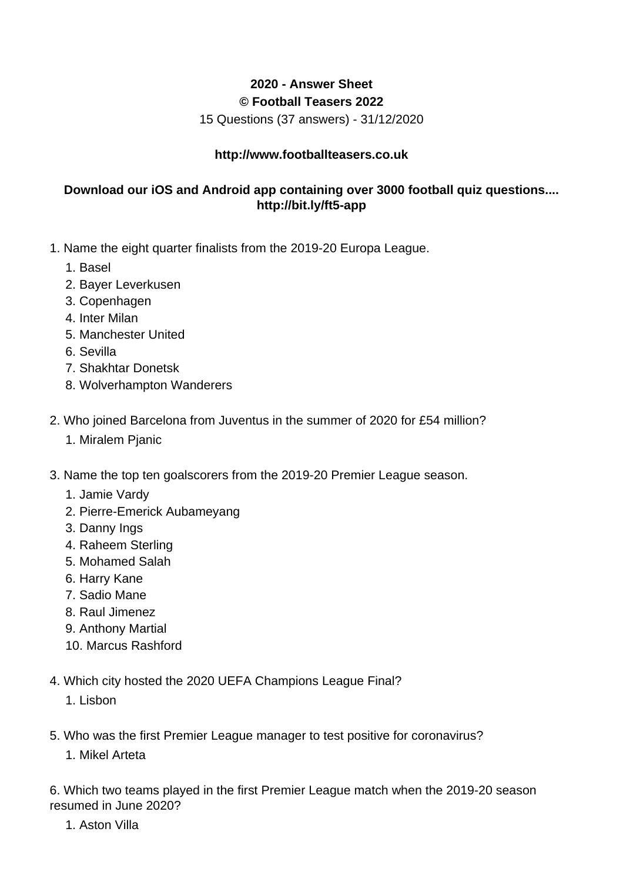## **2020 - Answer Sheet © Football Teasers 2022**

15 Questions (37 answers) - 31/12/2020

## **http://www.footballteasers.co.uk**

## **Download our iOS and Android app containing over 3000 football quiz questions.... http://bit.ly/ft5-app**

- 1. Name the eight quarter finalists from the 2019-20 Europa League.
	- 1. Basel
	- 2. Bayer Leverkusen
	- 3. Copenhagen
	- 4. Inter Milan
	- 5. Manchester United
	- 6. Sevilla
	- 7. Shakhtar Donetsk
	- 8. Wolverhampton Wanderers
- 2. Who joined Barcelona from Juventus in the summer of 2020 for £54 million?
	- 1. Miralem Pjanic
- 3. Name the top ten goalscorers from the 2019-20 Premier League season.
	- 1. Jamie Vardy
	- 2. Pierre-Emerick Aubameyang
	- 3. Danny Ings
	- 4. Raheem Sterling
	- 5. Mohamed Salah
	- 6. Harry Kane
	- 7. Sadio Mane
	- 8. Raul Jimenez
	- 9. Anthony Martial
	- 10. Marcus Rashford
- 4. Which city hosted the 2020 UEFA Champions League Final?
	- 1. Lisbon
- 5. Who was the first Premier League manager to test positive for coronavirus?
	- 1. Mikel Arteta

6. Which two teams played in the first Premier League match when the 2019-20 season resumed in June 2020?

1. Aston Villa